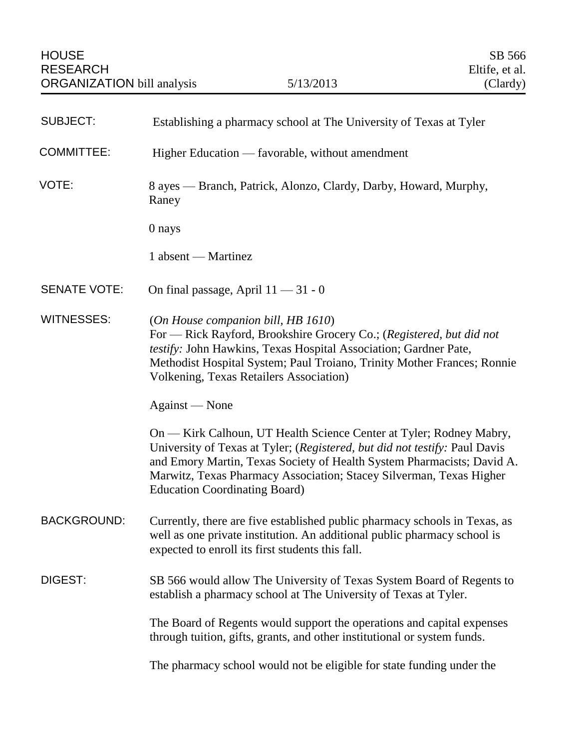| <b>SUBJECT:</b>     | Establishing a pharmacy school at The University of Texas at Tyler                                                                                                                                                                                                                                                                         |
|---------------------|--------------------------------------------------------------------------------------------------------------------------------------------------------------------------------------------------------------------------------------------------------------------------------------------------------------------------------------------|
| <b>COMMITTEE:</b>   | Higher Education — favorable, without amendment                                                                                                                                                                                                                                                                                            |
| VOTE:               | 8 ayes — Branch, Patrick, Alonzo, Clardy, Darby, Howard, Murphy,<br>Raney                                                                                                                                                                                                                                                                  |
|                     | 0 nays                                                                                                                                                                                                                                                                                                                                     |
|                     | 1 absent — Martinez                                                                                                                                                                                                                                                                                                                        |
| <b>SENATE VOTE:</b> | On final passage, April $11 - 31 - 0$                                                                                                                                                                                                                                                                                                      |
| <b>WITNESSES:</b>   | (On House companion bill, HB 1610)<br>For — Rick Rayford, Brookshire Grocery Co.; (Registered, but did not<br>testify: John Hawkins, Texas Hospital Association; Gardner Pate,<br>Methodist Hospital System; Paul Troiano, Trinity Mother Frances; Ronnie<br><b>Volkening, Texas Retailers Association)</b>                                |
|                     | Against — None                                                                                                                                                                                                                                                                                                                             |
|                     | On — Kirk Calhoun, UT Health Science Center at Tyler; Rodney Mabry,<br>University of Texas at Tyler; (Registered, but did not testify: Paul Davis<br>and Emory Martin, Texas Society of Health System Pharmacists; David A.<br>Marwitz, Texas Pharmacy Association; Stacey Silverman, Texas Higher<br><b>Education Coordinating Board)</b> |
| <b>BACKGROUND:</b>  | Currently, there are five established public pharmacy schools in Texas, as<br>well as one private institution. An additional public pharmacy school is<br>expected to enroll its first students this fall.                                                                                                                                 |
| DIGEST:             | SB 566 would allow The University of Texas System Board of Regents to<br>establish a pharmacy school at The University of Texas at Tyler.                                                                                                                                                                                                  |
|                     | The Board of Regents would support the operations and capital expenses<br>through tuition, gifts, grants, and other institutional or system funds.                                                                                                                                                                                         |
|                     | The pharmacy school would not be eligible for state funding under the                                                                                                                                                                                                                                                                      |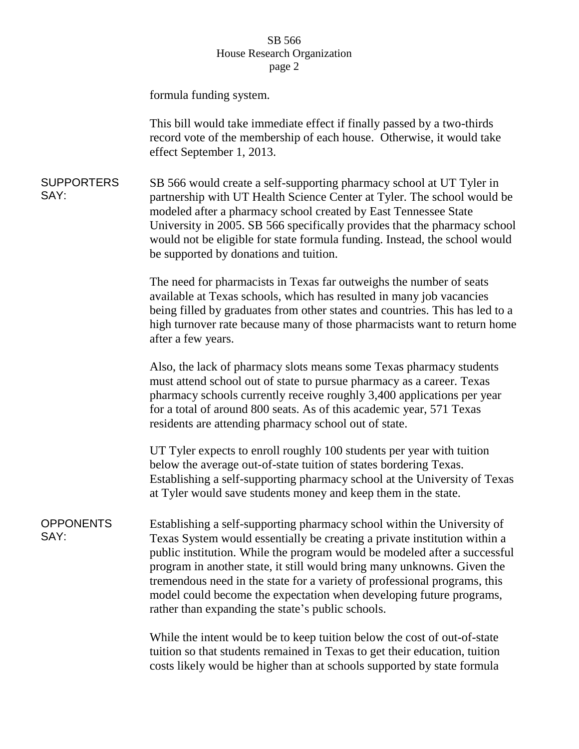## SB 566 House Research Organization page 2

formula funding system.

This bill would take immediate effect if finally passed by a two-thirds record vote of the membership of each house. Otherwise, it would take effect September 1, 2013.

**SUPPORTERS** SAY: SB 566 would create a self-supporting pharmacy school at UT Tyler in partnership with UT Health Science Center at Tyler. The school would be modeled after a pharmacy school created by East Tennessee State University in 2005. SB 566 specifically provides that the pharmacy school would not be eligible for state formula funding. Instead, the school would be supported by donations and tuition.

> The need for pharmacists in Texas far outweighs the number of seats available at Texas schools, which has resulted in many job vacancies being filled by graduates from other states and countries. This has led to a high turnover rate because many of those pharmacists want to return home after a few years.

Also, the lack of pharmacy slots means some Texas pharmacy students must attend school out of state to pursue pharmacy as a career. Texas pharmacy schools currently receive roughly 3,400 applications per year for a total of around 800 seats. As of this academic year, 571 Texas residents are attending pharmacy school out of state.

UT Tyler expects to enroll roughly 100 students per year with tuition below the average out-of-state tuition of states bordering Texas. Establishing a self-supporting pharmacy school at the University of Texas at Tyler would save students money and keep them in the state.

**OPPONENTS** SAY: Establishing a self-supporting pharmacy school within the University of Texas System would essentially be creating a private institution within a public institution. While the program would be modeled after a successful program in another state, it still would bring many unknowns. Given the tremendous need in the state for a variety of professional programs, this model could become the expectation when developing future programs, rather than expanding the state's public schools.

> While the intent would be to keep tuition below the cost of out-of-state tuition so that students remained in Texas to get their education, tuition costs likely would be higher than at schools supported by state formula